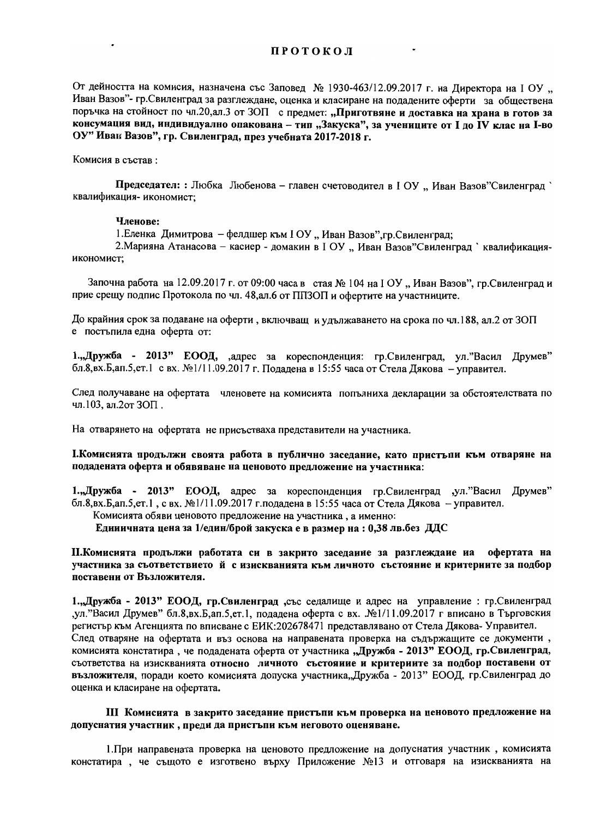От дейността на комисия, назначена със Заповед № 1930-463/12.09.2017 г. на Директора на I ОУ " Иван Вазов"- гр. Свиленград за разглеждане, оценка и класиране на подадените оферти за обществена поръчка на стойност по чл.20, ал.3 от ЗОП с предмет: "Приготвяне и доставка на храна в готов за консумация вид, индивидуално опакована - тип "Закуска", за учениците от I до IV клас на I-во ОУ" Ивак Вазов", гр. Свиленград, през учебната 2017-2018 г.

## Комисия в състав:

Председател: : Любка Любенова - главен счетоводител в I ОУ "Иван Вазов"Свиленград квалификация-икономист;

## Членове:

1. Еленка Димитрова - фелдшер към I ОУ "Иван Вазов", гр. Свиленград;

2. Марияна Атанасова - касиер - домакин в I ОУ "Иван Вазов"Свиленград ` квалификацияикономист:

Започна работа на 12.09.2017 г. от 09:00 часа в стая № 104 на I ОУ "Иван Вазов", гр.Свиленград и прие срещу подпис Протокола по чл. 48, ал. 6 от ППЗОП и офертите на участниците.

До крайния срок за подаване на оферти, включващ и удължаването на срока по чл.188, ал.2 от ЗОП е постъпила една оферта от:

1., Дружба - 2013" ЕООД, дарес за кореспонденция: гр.Свиленград, ул. "Васил Друмев" бл.8, вх.Б, ап.5, ет.1 с вх. №1/11.09.2017 г. Подадена в 15:55 часа от Стела Дякова - управител.

След получаване на офертата членовете на комисията попълниха декларации за обстоятелствата по чл.103, ал.2от 3ОП.

На отварянето на офертата не присъстваха представители на участника.

I. Комисията продължи своята работа в публично заседание, като пристъпи към отваряне на подадената оферта и обявяване на ценовото предложение на участника:

1., Дружба - 2013" ЕООД, адрес за кореспонденция гр. Свиленград , ул. "Васил Друмев" бл.8, вх.Б, ап.5, ет.1, с вх. №1/11.09.2017 г. подадена в 15:55 часа от Стела Дякова - управител.

Комисията обяви ценовото предложение на участника, а именно:

Едииичната цена за 1/един/брой закуска е в размер на : 0,38 лв.без ДДС

И. Комисията продължи работата си в закрито заседание за разглеждане на офертата на участника за съответствието й с изискванията към личното състояние и критериите за подбор поставени от Възложителя.

1., Дружба - 2013" ЕООД, гр. Свиленград "със седалище и адрес на управление : гр. Свиленград ул."Васил Друмев" бл.8, вх.Б, ап.5, ет.1, подадена оферта с вх. №1/11.09.2017 г вписано в Търговския регистьр към Агенцията по вписване с ЕИК: 202678471 представлявано от Стела Дякова-Управител. След отваряне на офертата и въз основа на направената проверка на съдържащите се документи, комисията констатира, че подадената оферта от участника "Дружба - 2013" ЕООД, гр.Свиленград, съответства на изискванията относно личното състояние и критериите за подбор поставени от възложителя, поради което комисията допуска участника, Дружба - 2013" ЕООД, гр. Свиленград до оценка и класиране на офертата.

III Комисията в закрито заседание пристъпи към проверка на ценовото предложение на допуснатия участник, преди да пристъпи към неговото оценяване.

1. При направената проверка на ценовото предложение на допуснатия участник, комисията констатира, че същото е изготвено върху Приложение №13 и отговаря на изискванията на